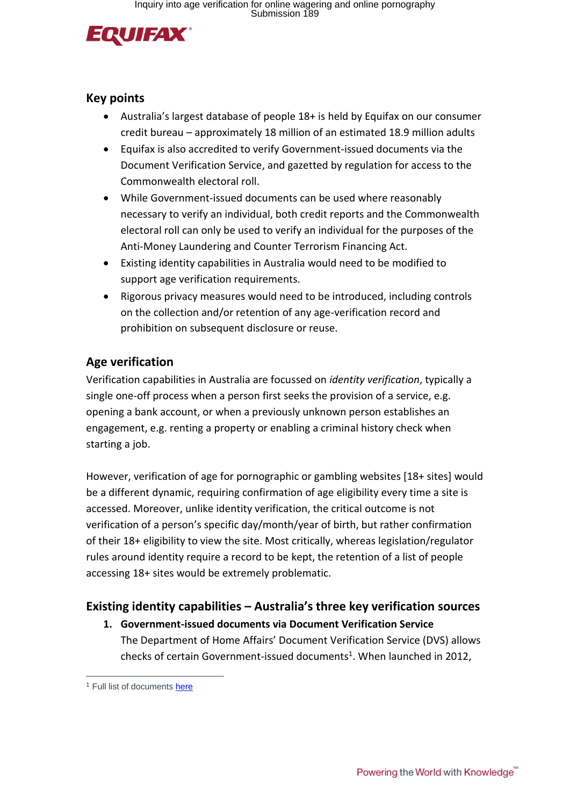

### **Key points**

- Australia's largest database of people 18+ is held by Equifax on our consumer credit bureau – approximately 18 million of an estimated 18.9 million adults
- Equifax is also accredited to verify Government-issued documents via the Document Verification Service, and gazetted by regulation for access to the Commonwealth electoral roll.
- While Government-issued documents can be used where reasonably necessary to verify an individual, both credit reports and the Commonwealth electoral roll can only be used to verify an individual for the purposes of the Anti-Money Laundering and Counter Terrorism Financing Act.
- Existing identity capabilities in Australia would need to be modified to support age verification requirements.
- Rigorous privacy measures would need to be introduced, including controls on the collection and/or retention of any age-verification record and prohibition on subsequent disclosure or reuse.

# **Age verification**

Verification capabilities in Australia are focussed on *identity verification*, typically a single one-off process when a person first seeks the provision of a service, e.g. opening a bank account, or when a previously unknown person establishes an engagement, e.g. renting a property or enabling a criminal history check when starting a job.

However, verification of age for pornographic or gambling websites [18+ sites] would be a different dynamic, requiring confirmation of age eligibility every time a site is accessed. Moreover, unlike identity verification, the critical outcome is not verification of a person's specific day/month/year of birth, but rather confirmation of their 18+ eligibility to view the site. Most critically, whereas legislation/regulator rules around identity require a record to be kept, the retention of a list of people accessing 18+ sites would be extremely problematic.

# **Existing identity capabilities – Australia's three key verification sources**

**1. Government-issued documents via Document Verification Service** The Department of Home Affairs' Document Verification Service (DVS) allows checks of certain Government-issued documents<sup>1</sup>. When launched in 2012,

 $\overline{a}$ 

<sup>&</sup>lt;sup>1</sup> Full list of documents [here](https://beta.idmatch.gov.au/our-services#section_2)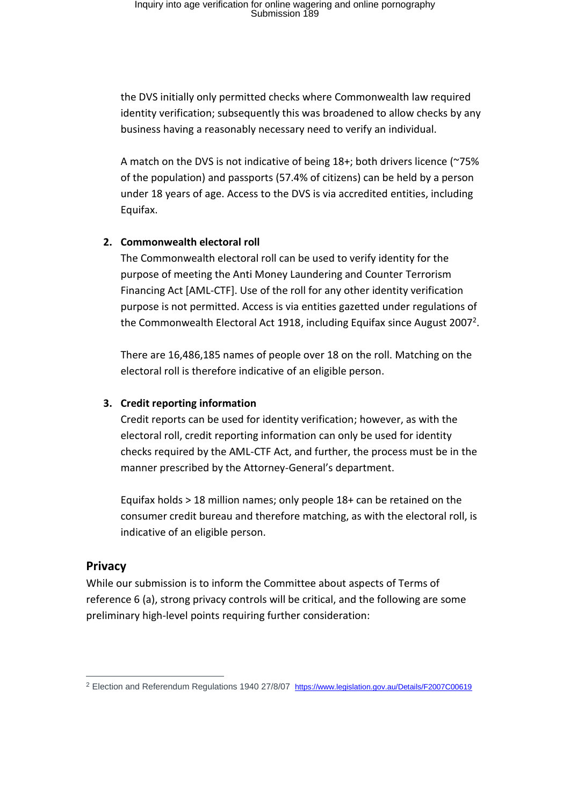the DVS initially only permitted checks where Commonwealth law required identity verification; subsequently this was broadened to allow checks by any business having a reasonably necessary need to verify an individual.

A match on the DVS is not indicative of being 18+; both drivers licence (~75% of the population) and passports (57.4% of citizens) can be held by a person under 18 years of age. Access to the DVS is via accredited entities, including Equifax.

#### **2. Commonwealth electoral roll**

The Commonwealth electoral roll can be used to verify identity for the purpose of meeting the Anti Money Laundering and Counter Terrorism Financing Act [AML-CTF]. Use of the roll for any other identity verification purpose is not permitted. Access is via entities gazetted under regulations of the Commonwealth Electoral Act 1918, including Equifax since August 2007<sup>2</sup>.

There are 16,486,185 names of people over 18 on the roll. Matching on the electoral roll is therefore indicative of an eligible person.

#### **3. Credit reporting information**

Credit reports can be used for identity verification; however, as with the electoral roll, credit reporting information can only be used for identity checks required by the AML-CTF Act, and further, the process must be in the manner prescribed by the Attorney-General's department.

Equifax holds > 18 million names; only people 18+ can be retained on the consumer credit bureau and therefore matching, as with the electoral roll, is indicative of an eligible person.

### **Privacy**

 $\overline{a}$ 

While our submission is to inform the Committee about aspects of Terms of reference 6 (a), strong privacy controls will be critical, and the following are some preliminary high-level points requiring further consideration:

<sup>2</sup> Election and Referendum Regulations 1940 27/8/07 <https://www.legislation.gov.au/Details/F2007C00619>